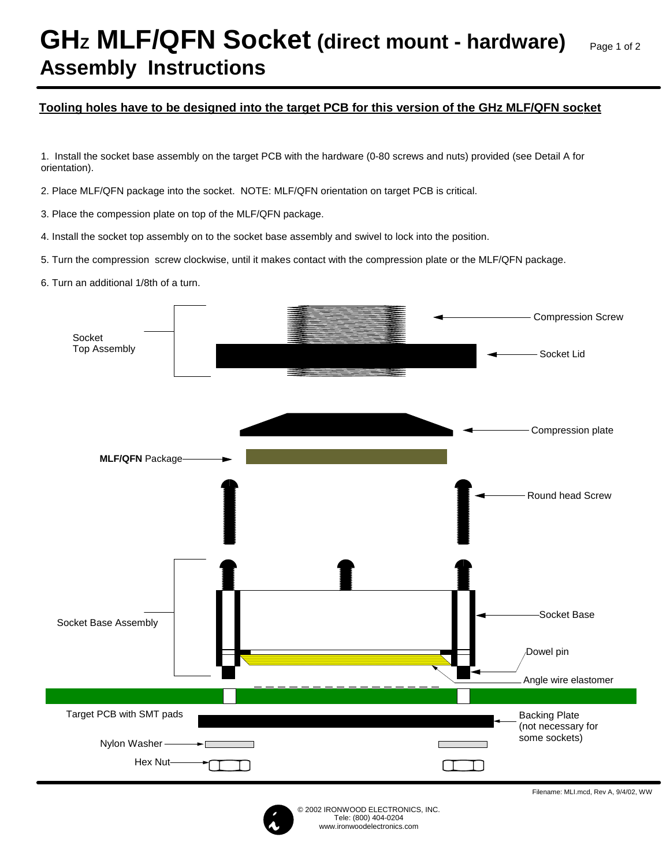## **GHz MLF/QFN Socket (direct mount - hardware) Assembly Instructions**

## **Tooling holes have to be designed into the target PCB for this version of the GHz MLF/QFN socket**

1. Install the socket base assembly on the target PCB with the hardware (0-80 screws and nuts) provided (see Detail A for orientation).

2. Place MLF/QFN package into the socket. NOTE: MLF/QFN orientation on target PCB is critical.

3. Place the compession plate on top of the MLF/QFN package.

4. Install the socket top assembly on to the socket base assembly and swivel to lock into the position.

5. Turn the compression screw clockwise, until it makes contact with the compression plate or the MLF/QFN package.

6. Turn an additional 1/8th of a turn.





Filename: MLI.mcd, Rev A, 9/4/02, WW